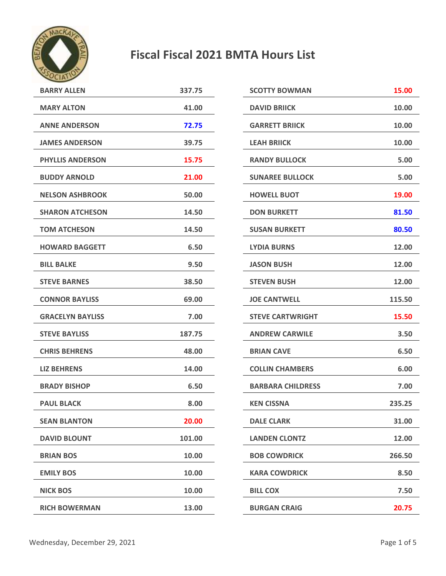

## **Fiscal Fiscal 2021 BMTA Hours List**

| <b>BARRY ALLEN</b>      | 337.75 | <b>SCOTTY BOWMAN</b>     | 15.00  |
|-------------------------|--------|--------------------------|--------|
| <b>MARY ALTON</b>       | 41.00  | <b>DAVID BRIICK</b>      | 10.00  |
| <b>ANNE ANDERSON</b>    | 72.75  | <b>GARRETT BRIICK</b>    | 10.00  |
| <b>JAMES ANDERSON</b>   | 39.75  | <b>LEAH BRIICK</b>       | 10.00  |
| <b>PHYLLIS ANDERSON</b> | 15.75  | <b>RANDY BULLOCK</b>     | 5.00   |
| <b>BUDDY ARNOLD</b>     | 21.00  | <b>SUNAREE BULLOCK</b>   |        |
| <b>NELSON ASHBROOK</b>  | 50.00  | <b>HOWELL BUOT</b>       |        |
| <b>SHARON ATCHESON</b>  | 14.50  | <b>DON BURKETT</b>       | 81.50  |
| <b>TOM ATCHESON</b>     | 14.50  | <b>SUSAN BURKETT</b>     | 80.50  |
| <b>HOWARD BAGGETT</b>   | 6.50   | <b>LYDIA BURNS</b>       | 12.00  |
| <b>BILL BALKE</b>       | 9.50   | <b>JASON BUSH</b>        | 12.00  |
| <b>STEVE BARNES</b>     | 38.50  | <b>STEVEN BUSH</b>       | 12.00  |
| <b>CONNOR BAYLISS</b>   | 69.00  | <b>JOE CANTWELL</b>      | 115.50 |
| <b>GRACELYN BAYLISS</b> | 7.00   | <b>STEVE CARTWRIGHT</b>  | 15.50  |
| <b>STEVE BAYLISS</b>    | 187.75 | <b>ANDREW CARWILE</b>    | 3.50   |
| <b>CHRIS BEHRENS</b>    | 48.00  | <b>BRIAN CAVE</b>        |        |
| <b>LIZ BEHRENS</b>      | 14.00  | <b>COLLIN CHAMBERS</b>   | 6.00   |
| <b>BRADY BISHOP</b>     | 6.50   | <b>BARBARA CHILDRESS</b> | 7.00   |
| <b>PAUL BLACK</b>       | 8.00   | <b>KEN CISSNA</b>        | 235.25 |
| <b>SEAN BLANTON</b>     | 20.00  | <b>DALE CLARK</b>        | 31.00  |
| <b>DAVID BLOUNT</b>     | 101.00 | <b>LANDEN CLONTZ</b>     | 12.00  |
| <b>BRIAN BOS</b>        | 10.00  | <b>BOB COWDRICK</b>      | 266.50 |
| <b>EMILY BOS</b>        | 10.00  | <b>KARA COWDRICK</b>     | 8.50   |
| <b>NICK BOS</b>         | 10.00  | <b>BILL COX</b>          | 7.50   |
| <b>RICH BOWERMAN</b>    | 13.00  | <b>BURGAN CRAIG</b>      | 20.75  |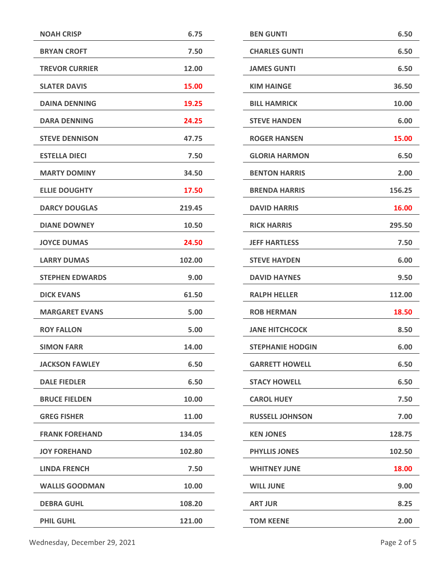| <b>NOAH CRISP</b>      | 6.75   | <b>BEN GUNTI</b>        | 6.50   |
|------------------------|--------|-------------------------|--------|
| <b>BRYAN CROFT</b>     | 7.50   | <b>CHARLES GUNTI</b>    | 6.50   |
| <b>TREVOR CURRIER</b>  | 12.00  | <b>JAMES GUNTI</b>      | 6.50   |
| <b>SLATER DAVIS</b>    | 15.00  | <b>KIM HAINGE</b>       | 36.50  |
| <b>DAINA DENNING</b>   | 19.25  | <b>BILL HAMRICK</b>     | 10.00  |
| <b>DARA DENNING</b>    | 24.25  | <b>STEVE HANDEN</b>     | 6.00   |
| <b>STEVE DENNISON</b>  | 47.75  | <b>ROGER HANSEN</b>     | 15.00  |
| <b>ESTELLA DIECI</b>   | 7.50   | <b>GLORIA HARMON</b>    | 6.50   |
| <b>MARTY DOMINY</b>    | 34.50  | <b>BENTON HARRIS</b>    | 2.00   |
| <b>ELLIE DOUGHTY</b>   | 17.50  | <b>BRENDA HARRIS</b>    | 156.25 |
| <b>DARCY DOUGLAS</b>   | 219.45 | <b>DAVID HARRIS</b>     | 16.00  |
| <b>DIANE DOWNEY</b>    | 10.50  | <b>RICK HARRIS</b>      | 295.50 |
| <b>JOYCE DUMAS</b>     | 24.50  | <b>JEFF HARTLESS</b>    | 7.50   |
| <b>LARRY DUMAS</b>     | 102.00 | <b>STEVE HAYDEN</b>     | 6.00   |
| <b>STEPHEN EDWARDS</b> | 9.00   | <b>DAVID HAYNES</b>     | 9.50   |
| <b>DICK EVANS</b>      | 61.50  | <b>RALPH HELLER</b>     | 112.00 |
| <b>MARGARET EVANS</b>  | 5.00   | <b>ROB HERMAN</b>       | 18.50  |
| <b>ROY FALLON</b>      | 5.00   | <b>JANE HITCHCOCK</b>   | 8.50   |
| <b>SIMON FARR</b>      | 14.00  | <b>STEPHANIE HODGIN</b> | 6.00   |
| <b>JACKSON FAWLEY</b>  | 6.50   | <b>GARRETT HOWELL</b>   | 6.50   |
| <b>DALE FIEDLER</b>    | 6.50   | <b>STACY HOWELL</b>     | 6.50   |
| <b>BRUCE FIELDEN</b>   | 10.00  | <b>CAROL HUEY</b>       | 7.50   |
| <b>GREG FISHER</b>     | 11.00  | <b>RUSSELL JOHNSON</b>  | 7.00   |
| <b>FRANK FOREHAND</b>  | 134.05 | <b>KEN JONES</b>        | 128.75 |
| <b>JOY FOREHAND</b>    | 102.80 | <b>PHYLLIS JONES</b>    | 102.50 |
| <b>LINDA FRENCH</b>    | 7.50   | <b>WHITNEY JUNE</b>     | 18.00  |
| <b>WALLIS GOODMAN</b>  | 10.00  | <b>WILL JUNE</b>        | 9.00   |
| <b>DEBRA GUHL</b>      | 108.20 | <b>ART JUR</b>          | 8.25   |
| <b>PHIL GUHL</b>       | 121.00 | <b>TOM KEENE</b>        | 2.00   |
|                        |        |                         |        |

**KEN JONES 128.75**

**PHYLLIS JONES 102.50**

**18.00** 

**KIM HAINGE 36.50**

**BILL HAMRICK 10.00**

**ROGER HANSEN 15.00**

**BRENDA HARRIS 156.25**

**DAVID HARRIS 16.00**

**RICK HARRIS 295.50**

**RALPH HELLER 112.00**

**ROB HERMAN 18.50**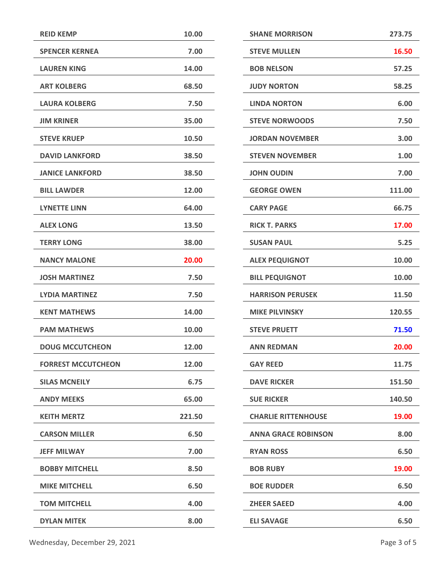| <b>REID KEMP</b>          | 10.00  | <b>SHANE MORRISON</b>      | 273.75 |
|---------------------------|--------|----------------------------|--------|
| <b>SPENCER KERNEA</b>     | 7.00   | <b>STEVE MULLEN</b>        | 16.50  |
| <b>LAUREN KING</b>        | 14.00  | <b>BOB NELSON</b>          | 57.25  |
| <b>ART KOLBERG</b>        | 68.50  | <b>JUDY NORTON</b>         | 58.25  |
| <b>LAURA KOLBERG</b>      | 7.50   | <b>LINDA NORTON</b>        | 6.00   |
| <b>JIM KRINER</b>         | 35.00  | <b>STEVE NORWOODS</b>      | 7.50   |
| <b>STEVE KRUEP</b>        | 10.50  | <b>JORDAN NOVEMBER</b>     | 3.00   |
| <b>DAVID LANKFORD</b>     | 38.50  | <b>STEVEN NOVEMBER</b>     | 1.00   |
| <b>JANICE LANKFORD</b>    | 38.50  | <b>JOHN OUDIN</b>          | 7.00   |
| <b>BILL LAWDER</b>        | 12.00  | <b>GEORGE OWEN</b>         | 111.00 |
| <b>LYNETTE LINN</b>       | 64.00  | <b>CARY PAGE</b>           | 66.75  |
| <b>ALEX LONG</b>          | 13.50  | <b>RICK T. PARKS</b>       | 17.00  |
| <b>TERRY LONG</b>         | 38.00  | <b>SUSAN PAUL</b>          | 5.25   |
| <b>NANCY MALONE</b>       | 20.00  | <b>ALEX PEQUIGNOT</b>      | 10.00  |
| <b>JOSH MARTINEZ</b>      | 7.50   | <b>BILL PEQUIGNOT</b>      | 10.00  |
| <b>LYDIA MARTINEZ</b>     | 7.50   | <b>HARRISON PERUSEK</b>    | 11.50  |
| <b>KENT MATHEWS</b>       | 14.00  | <b>MIKE PILVINSKY</b>      | 120.55 |
| <b>PAM MATHEWS</b>        | 10.00  | <b>STEVE PRUETT</b>        | 71.50  |
| <b>DOUG MCCUTCHEON</b>    | 12.00  | <b>ANN REDMAN</b>          | 20.00  |
| <b>FORREST MCCUTCHEON</b> | 12.00  | <b>GAY REED</b>            | 11.75  |
| <b>SILAS MCNEILY</b>      | 6.75   | <b>DAVE RICKER</b>         | 151.50 |
| <b>ANDY MEEKS</b>         | 65.00  | <b>SUE RICKER</b>          | 140.50 |
| <b>KEITH MERTZ</b>        | 221.50 | <b>CHARLIE RITTENHOUSE</b> | 19.00  |
| <b>CARSON MILLER</b>      | 6.50   | <b>ANNA GRACE ROBINSON</b> | 8.00   |
| <b>JEFF MILWAY</b>        | 7.00   | <b>RYAN ROSS</b>           | 6.50   |
| <b>BOBBY MITCHELL</b>     | 8.50   | <b>BOB RUBY</b>            | 19.00  |
| <b>MIKE MITCHELL</b>      | 6.50   | 6.50<br><b>BOE RUDDER</b>  |        |
| <b>TOM MITCHELL</b>       | 4.00   | <b>ZHEER SAEED</b>         | 4.00   |
| <b>DYLAN MITEK</b>        | 8.00   | <b>ELI SAVAGE</b>          | 6.50   |
|                           |        |                            |        |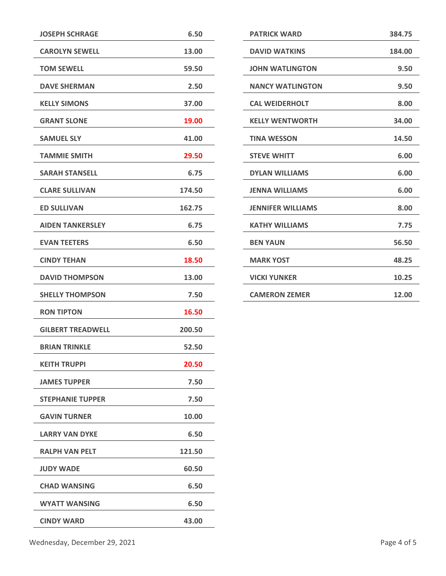| <b>JOSEPH SCHRAGE</b>    | 6.50   |
|--------------------------|--------|
| <b>CAROLYN SEWELL</b>    | 13.00  |
| <b>TOM SEWELL</b>        | 59.50  |
| <b>DAVE SHERMAN</b>      | 2.50   |
| <b>KELLY SIMONS</b>      | 37.00  |
| <b>GRANT SLONE</b>       | 19.00  |
| <b>SAMUEL SLY</b>        | 41.00  |
| <b>TAMMIE SMITH</b>      | 29.50  |
| <b>SARAH STANSELL</b>    | 6.75   |
| <b>CLARE SULLIVAN</b>    | 174.50 |
| <b>ED SULLIVAN</b>       | 162.75 |
| <b>AIDEN TANKERSLEY</b>  | 6.75   |
| <b>EVAN TEETERS</b>      | 6.50   |
| <b>CINDY TEHAN</b>       | 18.50  |
| <b>DAVID THOMPSON</b>    | 13.00  |
| <b>SHELLY THOMPSON</b>   | 7.50   |
| <b>RON TIPTON</b>        | 16.50  |
| <b>GILBERT TREADWELL</b> | 200.50 |
| <b>BRIAN TRINKLE</b>     | 52.50  |
| <b>KEITH TRUPPI</b>      | 20.50  |
| <b>JAMES TUPPER</b>      | 7.50   |
| <b>STEPHANIE TUPPER</b>  | 7.50   |
| <b>GAVIN TURNER</b>      | 10.00  |
| <b>LARRY VAN DYKE</b>    | 6.50   |
| <b>RALPH VAN PELT</b>    | 121.50 |
| <b>JUDY WADE</b>         | 60.50  |
| <b>CHAD WANSING</b>      | 6.50   |
| <b>WYATT WANSING</b>     | 6.50   |
| <b>CINDY WARD</b>        | 43.00  |
|                          |        |

| <b>PATRICK WARD</b>      | 384.75 |
|--------------------------|--------|
| <b>DAVID WATKINS</b>     | 184.00 |
| <b>JOHN WATLINGTON</b>   | 9.50   |
| <b>NANCY WATLINGTON</b>  | 9.50   |
| <b>CAL WEIDERHOLT</b>    | 8.00   |
| <b>KELLY WENTWORTH</b>   | 34.00  |
| <b>TINA WESSON</b>       | 14.50  |
| <b>STEVE WHITT</b>       | 6.00   |
| <b>DYLAN WILLIAMS</b>    | 6.00   |
| <b>JENNA WILLIAMS</b>    | 6.00   |
| <b>JENNIFER WILLIAMS</b> | 8.00   |
| <b>KATHY WILLIAMS</b>    | 7.75   |
| <b>BEN YAUN</b>          | 56.50  |
| <b>MARK YOST</b>         | 48.25  |
| <b>VICKI YUNKER</b>      | 10.25  |
| <b>CAMERON ZEMER</b>     | 12.00  |